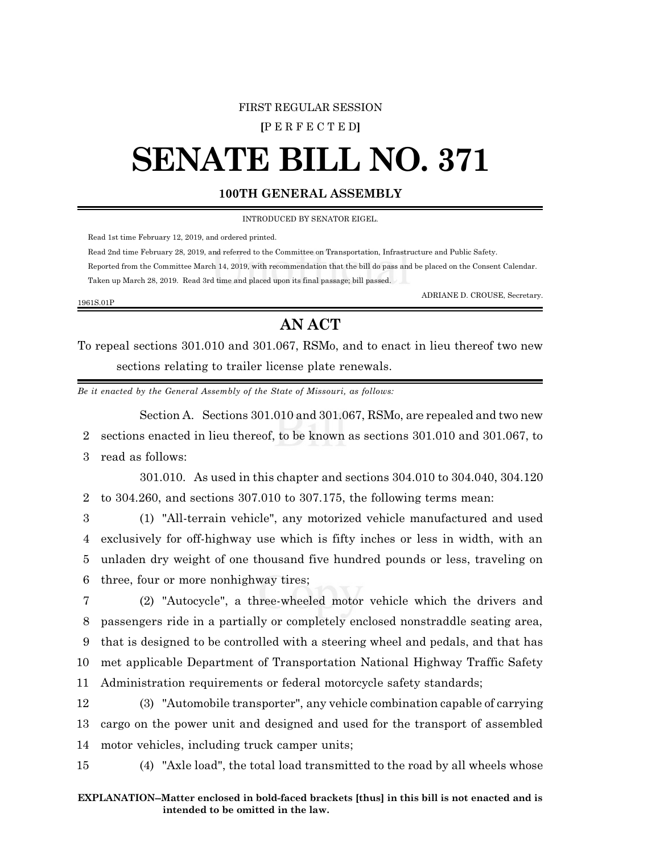### FIRST REGULAR SESSION

**[**P E R F E C T E D**]**

# **SENATE BILL NO. 371**

### **100TH GENERAL ASSEMBLY**

INTRODUCED BY SENATOR EIGEL.

Read 1st time February 12, 2019, and ordered printed.

 Read 2nd time February 28, 2019, and referred to the Committee on Transportation, Infrastructure and Public Safety. Reported from the Committee March 14, 2019, with recommendation that the bill do pass and be placed on the Consent Calendar. Taken up March 28, 2019. Read 3rd time and placed upon its final passage; bill passed.

ADRIANE D. CROUSE, Secretary.

#### 1961S.01P

## **AN ACT**

To repeal sections 301.010 and 301.067, RSMo, and to enact in lieu thereof two new sections relating to trailer license plate renewals.

*Be it enacted by the General Assembly of the State of Missouri, as follows:*

Section A. Sections 301.010 and 301.067, RSMo, are repealed and two new 2 sections enacted in lieu thereof, to be known as sections 301.010 and 301.067, to 3 read as follows:

301.010. As used in this chapter and sections 304.010 to 304.040, 304.120 2 to 304.260, and sections 307.010 to 307.175, the following terms mean:

 (1) "All-terrain vehicle", any motorized vehicle manufactured and used exclusively for off-highway use which is fifty inches or less in width, with an unladen dry weight of one thousand five hundred pounds or less, traveling on three, four or more nonhighway tires;

 (2) "Autocycle", a three-wheeled motor vehicle which the drivers and passengers ride in a partially or completely enclosed nonstraddle seating area, that is designed to be controlled with a steering wheel and pedals, and that has met applicable Department of Transportation National Highway Traffic Safety Administration requirements or federal motorcycle safety standards;

12 (3) "Automobile transporter", any vehicle combination capable of carrying 13 cargo on the power unit and designed and used for the transport of assembled 14 motor vehicles, including truck camper units;

15 (4) "Axle load", the total load transmitted to the road by all wheels whose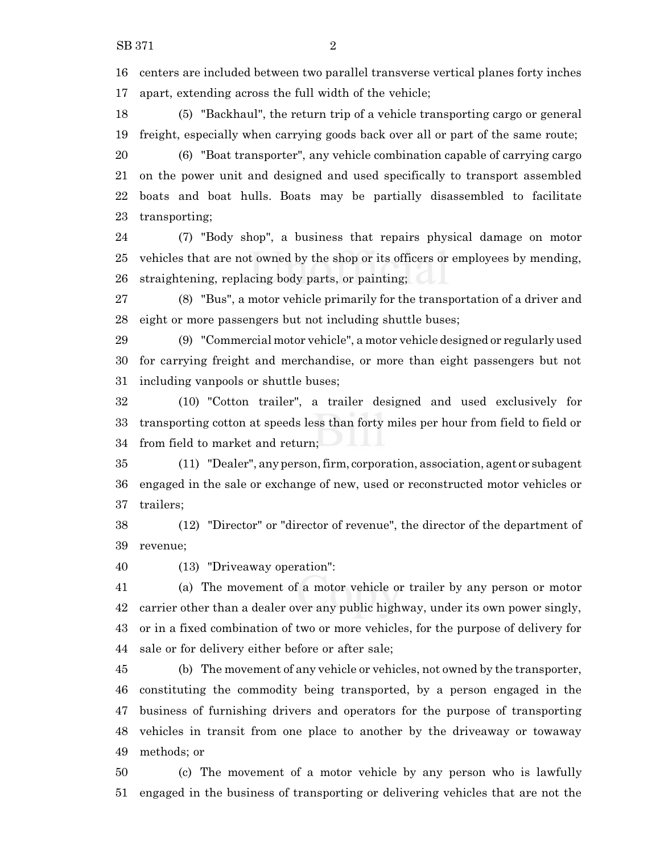centers are included between two parallel transverse vertical planes forty inches apart, extending across the full width of the vehicle;

 (5) "Backhaul", the return trip of a vehicle transporting cargo or general freight, especially when carrying goods back over all or part of the same route;

 (6) "Boat transporter", any vehicle combination capable of carrying cargo on the power unit and designed and used specifically to transport assembled boats and boat hulls. Boats may be partially disassembled to facilitate transporting;

 (7) "Body shop", a business that repairs physical damage on motor vehicles that are not owned by the shop or its officers or employees by mending, straightening, replacing body parts, or painting;

 (8) "Bus", a motor vehicle primarily for the transportation of a driver and eight or more passengers but not including shuttle buses;

 (9) "Commercial motor vehicle", a motor vehicle designed or regularly used for carrying freight and merchandise, or more than eight passengers but not including vanpools or shuttle buses;

 (10) "Cotton trailer", a trailer designed and used exclusively for transporting cotton at speeds less than forty miles per hour from field to field or from field to market and return;

 (11) "Dealer", any person,firm, corporation, association, agent or subagent engaged in the sale or exchange of new, used or reconstructed motor vehicles or trailers;

 (12) "Director" or "director of revenue", the director of the department of revenue;

(13) "Driveaway operation":

 (a) The movement of a motor vehicle or trailer by any person or motor carrier other than a dealer over any public highway, under its own power singly, or in a fixed combination of two or more vehicles, for the purpose of delivery for sale or for delivery either before or after sale;

 (b) The movement of any vehicle or vehicles, not owned by the transporter, constituting the commodity being transported, by a person engaged in the business of furnishing drivers and operators for the purpose of transporting vehicles in transit from one place to another by the driveaway or towaway methods; or

 (c) The movement of a motor vehicle by any person who is lawfully engaged in the business of transporting or delivering vehicles that are not the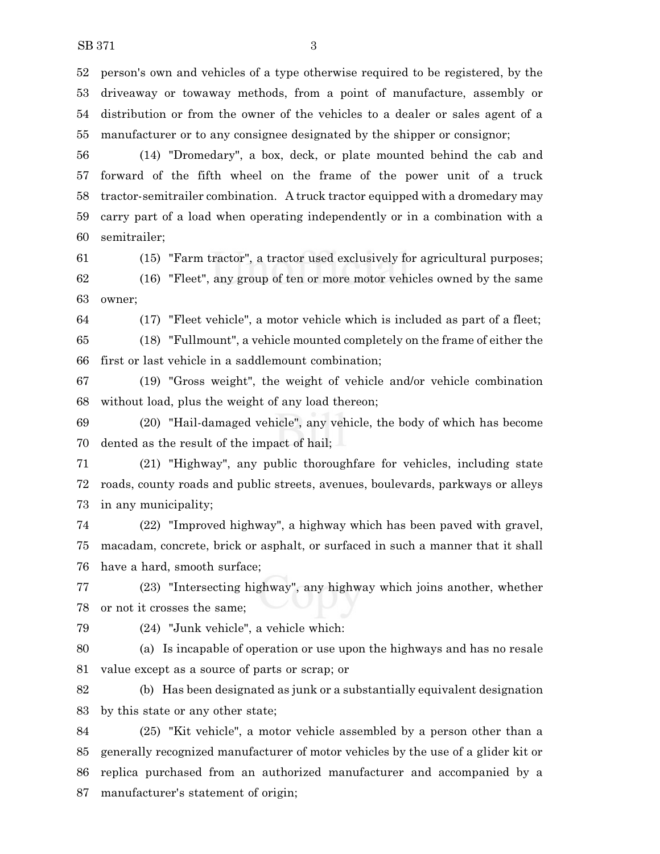person's own and vehicles of a type otherwise required to be registered, by the driveaway or towaway methods, from a point of manufacture, assembly or distribution or from the owner of the vehicles to a dealer or sales agent of a manufacturer or to any consignee designated by the shipper or consignor;

 (14) "Dromedary", a box, deck, or plate mounted behind the cab and forward of the fifth wheel on the frame of the power unit of a truck tractor-semitrailer combination. A truck tractor equipped with a dromedary may carry part of a load when operating independently or in a combination with a semitrailer;

 (15) "Farm tractor", a tractor used exclusively for agricultural purposes; (16) "Fleet", any group of ten or more motor vehicles owned by the same owner;

(17) "Fleet vehicle", a motor vehicle which is included as part of a fleet;

 (18) "Fullmount", a vehicle mounted completely on the frame of either the first or last vehicle in a saddlemount combination;

 (19) "Gross weight", the weight of vehicle and/or vehicle combination without load, plus the weight of any load thereon;

 (20) "Hail-damaged vehicle", any vehicle, the body of which has become dented as the result of the impact of hail;

 (21) "Highway", any public thoroughfare for vehicles, including state roads, county roads and public streets, avenues, boulevards, parkways or alleys in any municipality;

 (22) "Improved highway", a highway which has been paved with gravel, macadam, concrete, brick or asphalt, or surfaced in such a manner that it shall have a hard, smooth surface;

 (23) "Intersecting highway", any highway which joins another, whether or not it crosses the same;

(24) "Junk vehicle", a vehicle which:

 (a) Is incapable of operation or use upon the highways and has no resale value except as a source of parts or scrap; or

 (b) Has been designated as junk or a substantially equivalent designation by this state or any other state;

 (25) "Kit vehicle", a motor vehicle assembled by a person other than a generally recognized manufacturer of motor vehicles by the use of a glider kit or replica purchased from an authorized manufacturer and accompanied by a manufacturer's statement of origin;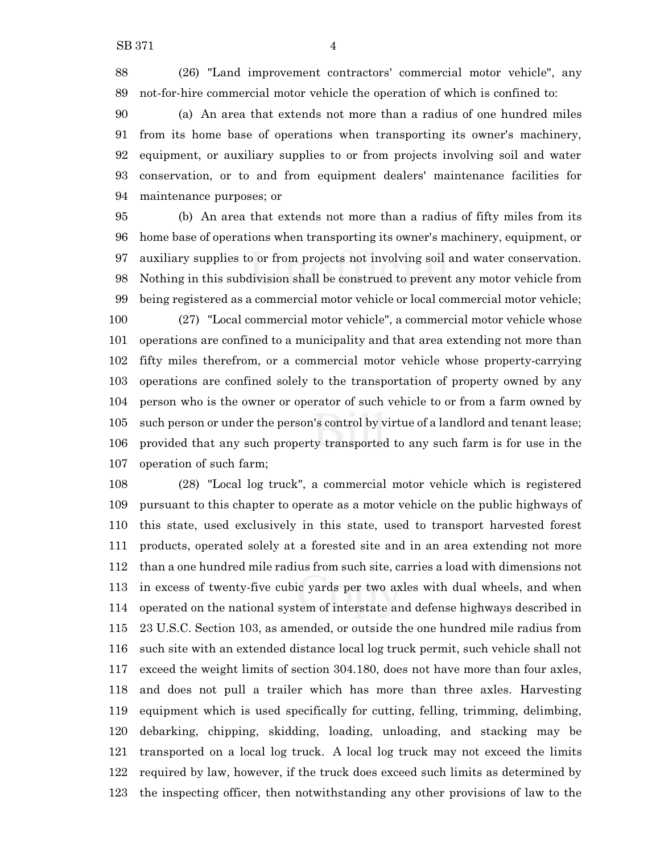(26) "Land improvement contractors' commercial motor vehicle", any not-for-hire commercial motor vehicle the operation of which is confined to:

 (a) An area that extends not more than a radius of one hundred miles from its home base of operations when transporting its owner's machinery, equipment, or auxiliary supplies to or from projects involving soil and water conservation, or to and from equipment dealers' maintenance facilities for maintenance purposes; or

 (b) An area that extends not more than a radius of fifty miles from its home base of operations when transporting its owner's machinery, equipment, or auxiliary supplies to or from projects not involving soil and water conservation. Nothing in this subdivision shall be construed to prevent any motor vehicle from being registered as a commercial motor vehicle or local commercial motor vehicle; (27) "Local commercial motor vehicle", a commercial motor vehicle whose operations are confined to a municipality and that area extending not more than fifty miles therefrom, or a commercial motor vehicle whose property-carrying operations are confined solely to the transportation of property owned by any person who is the owner or operator of such vehicle to or from a farm owned by such person or under the person's control by virtue of a landlord and tenant lease; provided that any such property transported to any such farm is for use in the operation of such farm;

 (28) "Local log truck", a commercial motor vehicle which is registered pursuant to this chapter to operate as a motor vehicle on the public highways of this state, used exclusively in this state, used to transport harvested forest products, operated solely at a forested site and in an area extending not more than a one hundred mile radius from such site, carries a load with dimensions not in excess of twenty-five cubic yards per two axles with dual wheels, and when operated on the national system of interstate and defense highways described in 23 U.S.C. Section 103, as amended, or outside the one hundred mile radius from such site with an extended distance local log truck permit, such vehicle shall not exceed the weight limits of section 304.180, does not have more than four axles, and does not pull a trailer which has more than three axles. Harvesting equipment which is used specifically for cutting, felling, trimming, delimbing, debarking, chipping, skidding, loading, unloading, and stacking may be transported on a local log truck. A local log truck may not exceed the limits required by law, however, if the truck does exceed such limits as determined by the inspecting officer, then notwithstanding any other provisions of law to the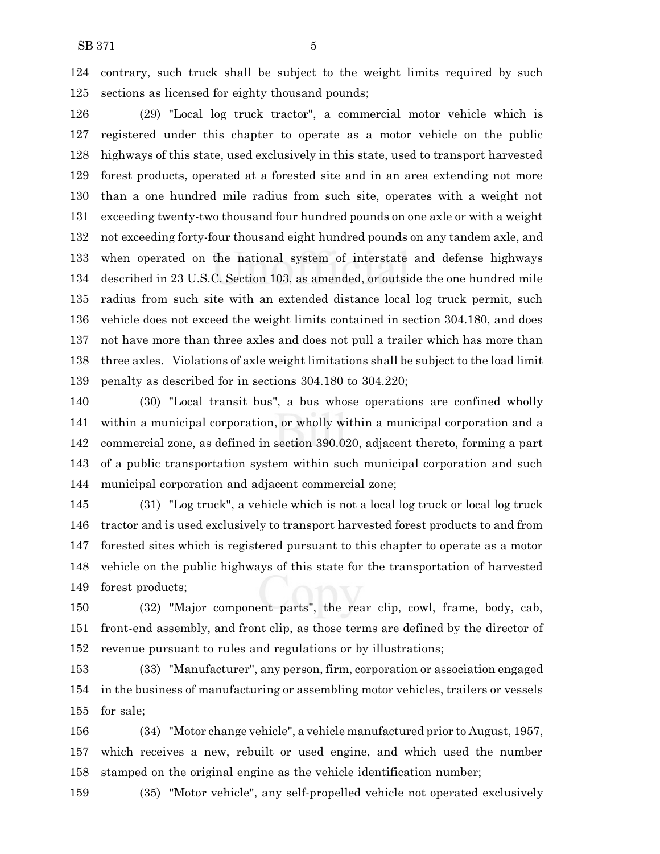contrary, such truck shall be subject to the weight limits required by such sections as licensed for eighty thousand pounds;

 (29) "Local log truck tractor", a commercial motor vehicle which is registered under this chapter to operate as a motor vehicle on the public highways of this state, used exclusively in this state, used to transport harvested forest products, operated at a forested site and in an area extending not more than a one hundred mile radius from such site, operates with a weight not exceeding twenty-two thousand four hundred pounds on one axle or with a weight not exceeding forty-four thousand eight hundred pounds on any tandem axle, and when operated on the national system of interstate and defense highways described in 23 U.S.C. Section 103, as amended, or outside the one hundred mile radius from such site with an extended distance local log truck permit, such vehicle does not exceed the weight limits contained in section 304.180, and does not have more than three axles and does not pull a trailer which has more than three axles. Violations of axle weight limitations shall be subject to the load limit penalty as described for in sections 304.180 to 304.220;

 (30) "Local transit bus", a bus whose operations are confined wholly within a municipal corporation, or wholly within a municipal corporation and a commercial zone, as defined in section 390.020, adjacent thereto, forming a part of a public transportation system within such municipal corporation and such municipal corporation and adjacent commercial zone;

 (31) "Log truck", a vehicle which is not a local log truck or local log truck tractor and is used exclusively to transport harvested forest products to and from forested sites which is registered pursuant to this chapter to operate as a motor vehicle on the public highways of this state for the transportation of harvested forest products;

 (32) "Major component parts", the rear clip, cowl, frame, body, cab, front-end assembly, and front clip, as those terms are defined by the director of revenue pursuant to rules and regulations or by illustrations;

 (33) "Manufacturer", any person, firm, corporation or association engaged in the business of manufacturing or assembling motor vehicles, trailers or vessels for sale;

 (34) "Motor change vehicle", a vehicle manufactured prior to August, 1957, which receives a new, rebuilt or used engine, and which used the number stamped on the original engine as the vehicle identification number;

(35) "Motor vehicle", any self-propelled vehicle not operated exclusively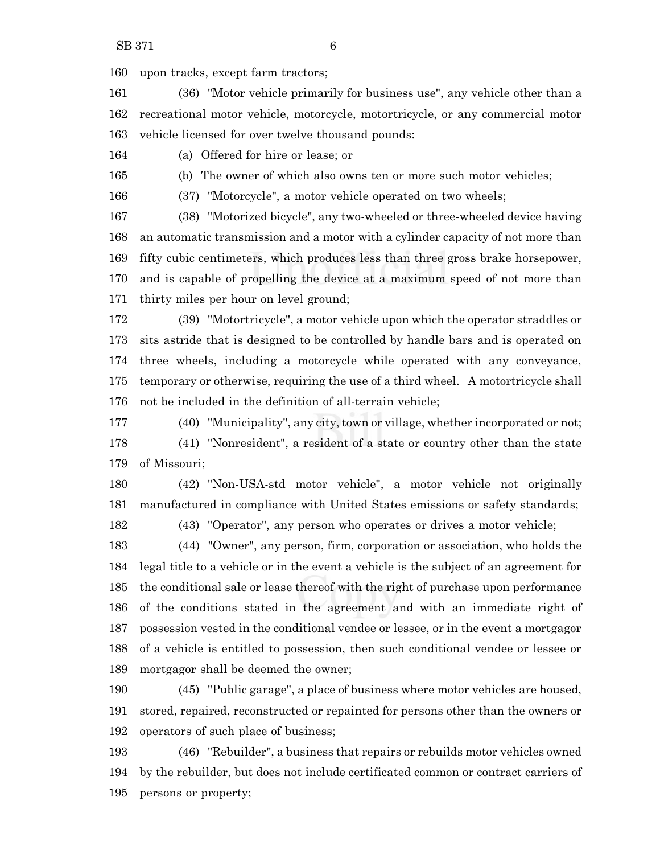upon tracks, except farm tractors;

 (36) "Motor vehicle primarily for business use", any vehicle other than a recreational motor vehicle, motorcycle, motortricycle, or any commercial motor vehicle licensed for over twelve thousand pounds:

(a) Offered for hire or lease; or

(b) The owner of which also owns ten or more such motor vehicles;

(37) "Motorcycle", a motor vehicle operated on two wheels;

 (38) "Motorized bicycle", any two-wheeled or three-wheeled device having an automatic transmission and a motor with a cylinder capacity of not more than fifty cubic centimeters, which produces less than three gross brake horsepower, and is capable of propelling the device at a maximum speed of not more than thirty miles per hour on level ground;

 (39) "Motortricycle", a motor vehicle upon which the operator straddles or sits astride that is designed to be controlled by handle bars and is operated on three wheels, including a motorcycle while operated with any conveyance, temporary or otherwise, requiring the use of a third wheel. A motortricycle shall not be included in the definition of all-terrain vehicle;

 (40) "Municipality", any city, town or village, whether incorporated or not; (41) "Nonresident", a resident of a state or country other than the state of Missouri;

 (42) "Non-USA-std motor vehicle", a motor vehicle not originally manufactured in compliance with United States emissions or safety standards;

(43) "Operator", any person who operates or drives a motor vehicle;

 (44) "Owner", any person, firm, corporation or association, who holds the legal title to a vehicle or in the event a vehicle is the subject of an agreement for the conditional sale or lease thereof with the right of purchase upon performance of the conditions stated in the agreement and with an immediate right of possession vested in the conditional vendee or lessee, or in the event a mortgagor of a vehicle is entitled to possession, then such conditional vendee or lessee or mortgagor shall be deemed the owner;

 (45) "Public garage", a place of business where motor vehicles are housed, stored, repaired, reconstructed or repainted for persons other than the owners or operators of such place of business;

 (46) "Rebuilder", a business that repairs or rebuilds motor vehicles owned by the rebuilder, but does not include certificated common or contract carriers of persons or property;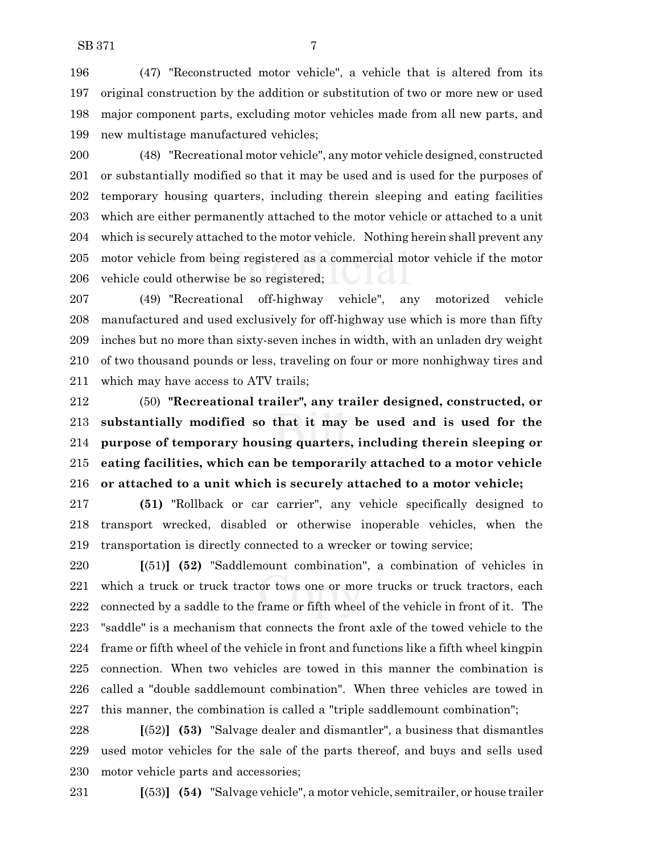(47) "Reconstructed motor vehicle", a vehicle that is altered from its original construction by the addition or substitution of two or more new or used major component parts, excluding motor vehicles made from all new parts, and new multistage manufactured vehicles;

 (48) "Recreational motor vehicle", any motor vehicle designed, constructed or substantially modified so that it may be used and is used for the purposes of temporary housing quarters, including therein sleeping and eating facilities which are either permanently attached to the motor vehicle or attached to a unit which is securely attached to the motor vehicle. Nothing herein shall prevent any motor vehicle from being registered as a commercial motor vehicle if the motor vehicle could otherwise be so registered;

 (49) "Recreational off-highway vehicle", any motorized vehicle manufactured and used exclusively for off-highway use which is more than fifty inches but no more than sixty-seven inches in width, with an unladen dry weight of two thousand pounds or less, traveling on four or more nonhighway tires and which may have access to ATV trails;

 (50) **"Recreational trailer", any trailer designed, constructed, or substantially modified so that it may be used and is used for the purpose of temporary housing quarters, including therein sleeping or eating facilities, which can be temporarily attached to a motor vehicle or attached to a unit which is securely attached to a motor vehicle;**

 **(51)** "Rollback or car carrier", any vehicle specifically designed to transport wrecked, disabled or otherwise inoperable vehicles, when the transportation is directly connected to a wrecker or towing service;

 **[**(51)**] (52)** "Saddlemount combination", a combination of vehicles in which a truck or truck tractor tows one or more trucks or truck tractors, each connected by a saddle to the frame or fifth wheel of the vehicle in front of it. The "saddle" is a mechanism that connects the front axle of the towed vehicle to the frame or fifth wheel of the vehicle in front and functions like a fifth wheel kingpin connection. When two vehicles are towed in this manner the combination is called a "double saddlemount combination". When three vehicles are towed in this manner, the combination is called a "triple saddlemount combination";

 **[**(52)**] (53)** "Salvage dealer and dismantler", a business that dismantles used motor vehicles for the sale of the parts thereof, and buys and sells used motor vehicle parts and accessories;

**[**(53)**] (54)** "Salvage vehicle", a motor vehicle, semitrailer, or house trailer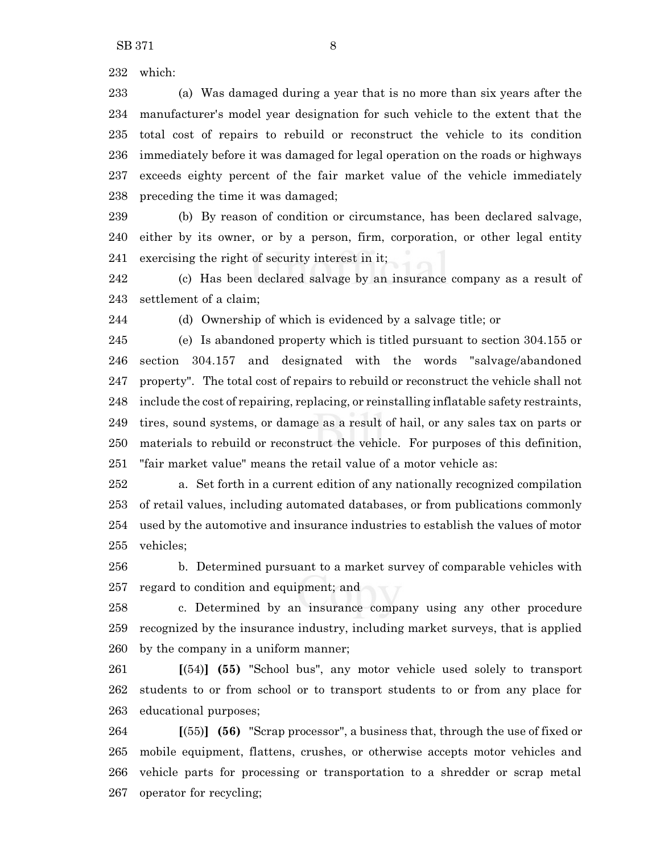which:

 (a) Was damaged during a year that is no more than six years after the manufacturer's model year designation for such vehicle to the extent that the total cost of repairs to rebuild or reconstruct the vehicle to its condition immediately before it was damaged for legal operation on the roads or highways exceeds eighty percent of the fair market value of the vehicle immediately preceding the time it was damaged;

 (b) By reason of condition or circumstance, has been declared salvage, either by its owner, or by a person, firm, corporation, or other legal entity exercising the right of security interest in it;

 (c) Has been declared salvage by an insurance company as a result of settlement of a claim;

(d) Ownership of which is evidenced by a salvage title; or

 (e) Is abandoned property which is titled pursuant to section 304.155 or section 304.157 and designated with the words "salvage/abandoned property". The total cost of repairs to rebuild or reconstruct the vehicle shall not include the cost of repairing, replacing, or reinstalling inflatable safety restraints, tires, sound systems, or damage as a result of hail, or any sales tax on parts or materials to rebuild or reconstruct the vehicle. For purposes of this definition, "fair market value" means the retail value of a motor vehicle as:

 a. Set forth in a current edition of any nationally recognized compilation of retail values, including automated databases, or from publications commonly used by the automotive and insurance industries to establish the values of motor vehicles;

 b. Determined pursuant to a market survey of comparable vehicles with regard to condition and equipment; and

 c. Determined by an insurance company using any other procedure recognized by the insurance industry, including market surveys, that is applied by the company in a uniform manner;

 **[**(54)**] (55)** "School bus", any motor vehicle used solely to transport students to or from school or to transport students to or from any place for educational purposes;

 **[**(55)**] (56)** "Scrap processor", a business that, through the use of fixed or mobile equipment, flattens, crushes, or otherwise accepts motor vehicles and vehicle parts for processing or transportation to a shredder or scrap metal operator for recycling;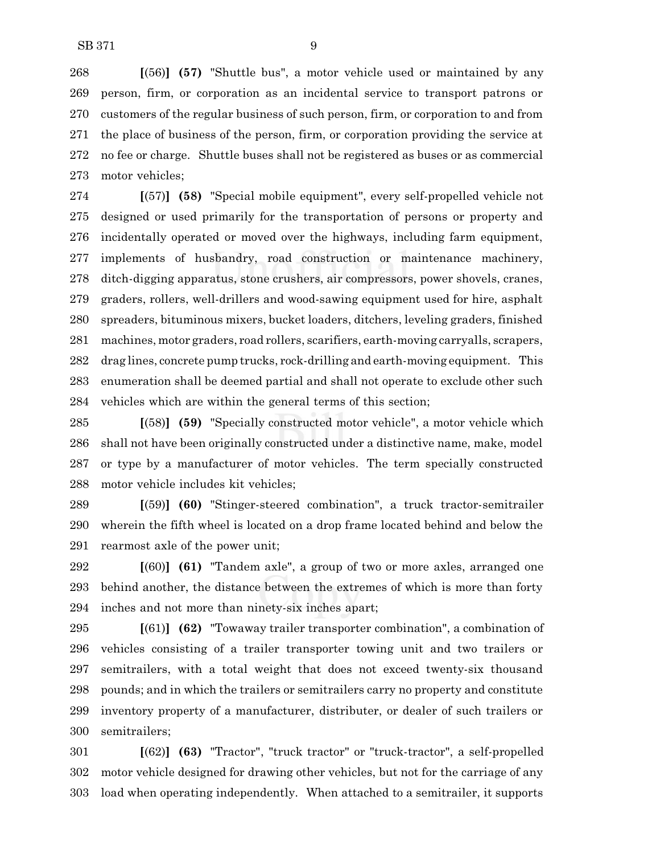**[**(56)**] (57)** "Shuttle bus", a motor vehicle used or maintained by any person, firm, or corporation as an incidental service to transport patrons or customers of the regular business of such person, firm, or corporation to and from the place of business of the person, firm, or corporation providing the service at no fee or charge. Shuttle buses shall not be registered as buses or as commercial motor vehicles;

 **[**(57)**] (58)** "Special mobile equipment", every self-propelled vehicle not designed or used primarily for the transportation of persons or property and incidentally operated or moved over the highways, including farm equipment, implements of husbandry, road construction or maintenance machinery, ditch-digging apparatus, stone crushers, air compressors, power shovels, cranes, graders, rollers, well-drillers and wood-sawing equipment used for hire, asphalt spreaders, bituminous mixers, bucket loaders, ditchers, leveling graders, finished machines, motor graders, road rollers, scarifiers, earth-moving carryalls, scrapers, drag lines, concrete pump trucks, rock-drilling and earth-moving equipment. This enumeration shall be deemed partial and shall not operate to exclude other such vehicles which are within the general terms of this section;

 **[**(58)**] (59)** "Specially constructed motor vehicle", a motor vehicle which shall not have been originally constructed under a distinctive name, make, model or type by a manufacturer of motor vehicles. The term specially constructed motor vehicle includes kit vehicles;

 **[**(59)**] (60)** "Stinger-steered combination", a truck tractor-semitrailer wherein the fifth wheel is located on a drop frame located behind and below the rearmost axle of the power unit;

 **[**(60)**] (61)** "Tandem axle", a group of two or more axles, arranged one behind another, the distance between the extremes of which is more than forty inches and not more than ninety-six inches apart;

 **[**(61)**] (62)** "Towaway trailer transporter combination", a combination of vehicles consisting of a trailer transporter towing unit and two trailers or semitrailers, with a total weight that does not exceed twenty-six thousand pounds; and in which the trailers or semitrailers carry no property and constitute inventory property of a manufacturer, distributer, or dealer of such trailers or semitrailers;

 **[**(62)**] (63)** "Tractor", "truck tractor" or "truck-tractor", a self-propelled motor vehicle designed for drawing other vehicles, but not for the carriage of any load when operating independently. When attached to a semitrailer, it supports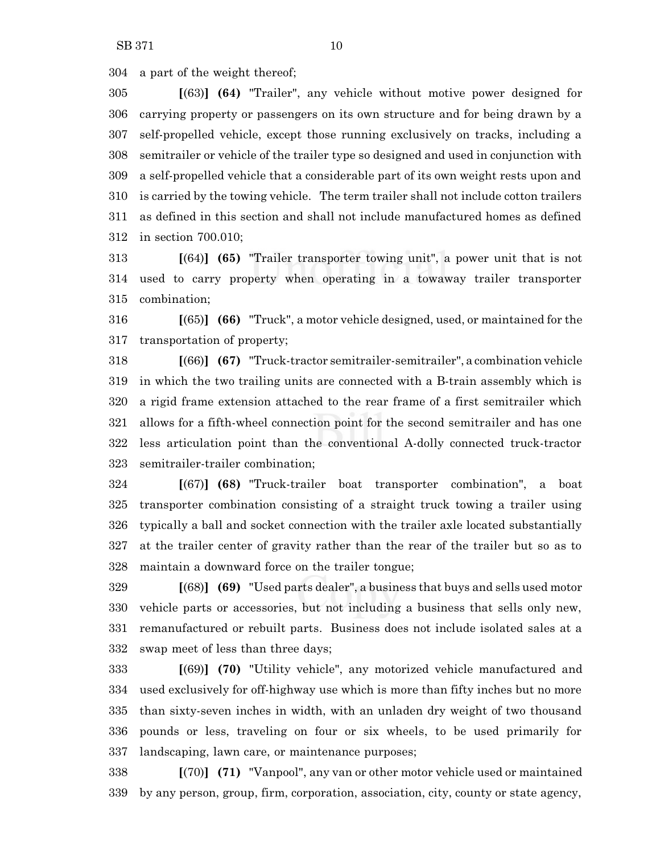a part of the weight thereof;

 **[**(63)**] (64)** "Trailer", any vehicle without motive power designed for carrying property or passengers on its own structure and for being drawn by a self-propelled vehicle, except those running exclusively on tracks, including a semitrailer or vehicle of the trailer type so designed and used in conjunction with a self-propelled vehicle that a considerable part of its own weight rests upon and is carried by the towing vehicle. The term trailer shall not include cotton trailers as defined in this section and shall not include manufactured homes as defined in section 700.010;

 **[**(64)**] (65)** "Trailer transporter towing unit", a power unit that is not used to carry property when operating in a towaway trailer transporter combination;

 **[**(65)**] (66)** "Truck", a motor vehicle designed, used, or maintained for the transportation of property;

 **[**(66)**] (67)** "Truck-tractor semitrailer-semitrailer", a combination vehicle in which the two trailing units are connected with a B-train assembly which is a rigid frame extension attached to the rear frame of a first semitrailer which allows for a fifth-wheel connection point for the second semitrailer and has one less articulation point than the conventional A-dolly connected truck-tractor semitrailer-trailer combination;

 **[**(67)**] (68)** "Truck-trailer boat transporter combination", a boat transporter combination consisting of a straight truck towing a trailer using typically a ball and socket connection with the trailer axle located substantially at the trailer center of gravity rather than the rear of the trailer but so as to maintain a downward force on the trailer tongue;

 **[**(68)**] (69)** "Used parts dealer", a business that buys and sells used motor vehicle parts or accessories, but not including a business that sells only new, remanufactured or rebuilt parts. Business does not include isolated sales at a swap meet of less than three days;

 **[**(69)**] (70)** "Utility vehicle", any motorized vehicle manufactured and used exclusively for off-highway use which is more than fifty inches but no more than sixty-seven inches in width, with an unladen dry weight of two thousand pounds or less, traveling on four or six wheels, to be used primarily for landscaping, lawn care, or maintenance purposes;

 **[**(70)**] (71)** "Vanpool", any van or other motor vehicle used or maintained by any person, group, firm, corporation, association, city, county or state agency,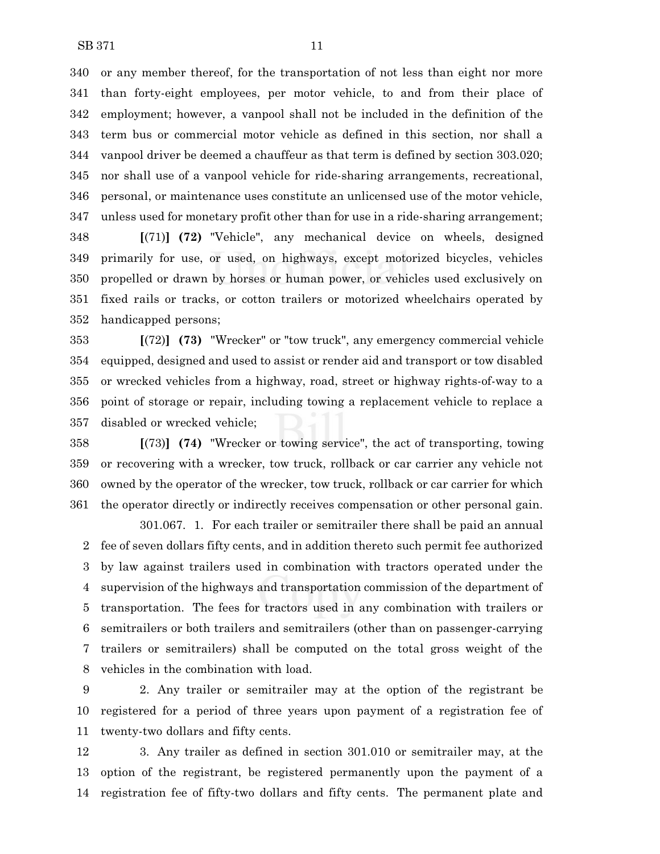or any member thereof, for the transportation of not less than eight nor more than forty-eight employees, per motor vehicle, to and from their place of employment; however, a vanpool shall not be included in the definition of the term bus or commercial motor vehicle as defined in this section, nor shall a vanpool driver be deemed a chauffeur as that term is defined by section 303.020; nor shall use of a vanpool vehicle for ride-sharing arrangements, recreational, personal, or maintenance uses constitute an unlicensed use of the motor vehicle, unless used for monetary profit other than for use in a ride-sharing arrangement;

 **[**(71)**] (72)** "Vehicle", any mechanical device on wheels, designed primarily for use, or used, on highways, except motorized bicycles, vehicles propelled or drawn by horses or human power, or vehicles used exclusively on fixed rails or tracks, or cotton trailers or motorized wheelchairs operated by handicapped persons;

 **[**(72)**] (73)** "Wrecker" or "tow truck", any emergency commercial vehicle equipped, designed and used to assist or render aid and transport or tow disabled or wrecked vehicles from a highway, road, street or highway rights-of-way to a point of storage or repair, including towing a replacement vehicle to replace a disabled or wrecked vehicle;

 **[**(73)**] (74)** "Wrecker or towing service", the act of transporting, towing or recovering with a wrecker, tow truck, rollback or car carrier any vehicle not owned by the operator of the wrecker, tow truck, rollback or car carrier for which the operator directly or indirectly receives compensation or other personal gain.

301.067. 1. For each trailer or semitrailer there shall be paid an annual fee of seven dollars fifty cents, and in addition thereto such permit fee authorized by law against trailers used in combination with tractors operated under the supervision of the highways and transportation commission of the department of transportation. The fees for tractors used in any combination with trailers or semitrailers or both trailers and semitrailers (other than on passenger-carrying trailers or semitrailers) shall be computed on the total gross weight of the vehicles in the combination with load.

 2. Any trailer or semitrailer may at the option of the registrant be registered for a period of three years upon payment of a registration fee of twenty-two dollars and fifty cents.

 3. Any trailer as defined in section 301.010 or semitrailer may, at the option of the registrant, be registered permanently upon the payment of a registration fee of fifty-two dollars and fifty cents. The permanent plate and